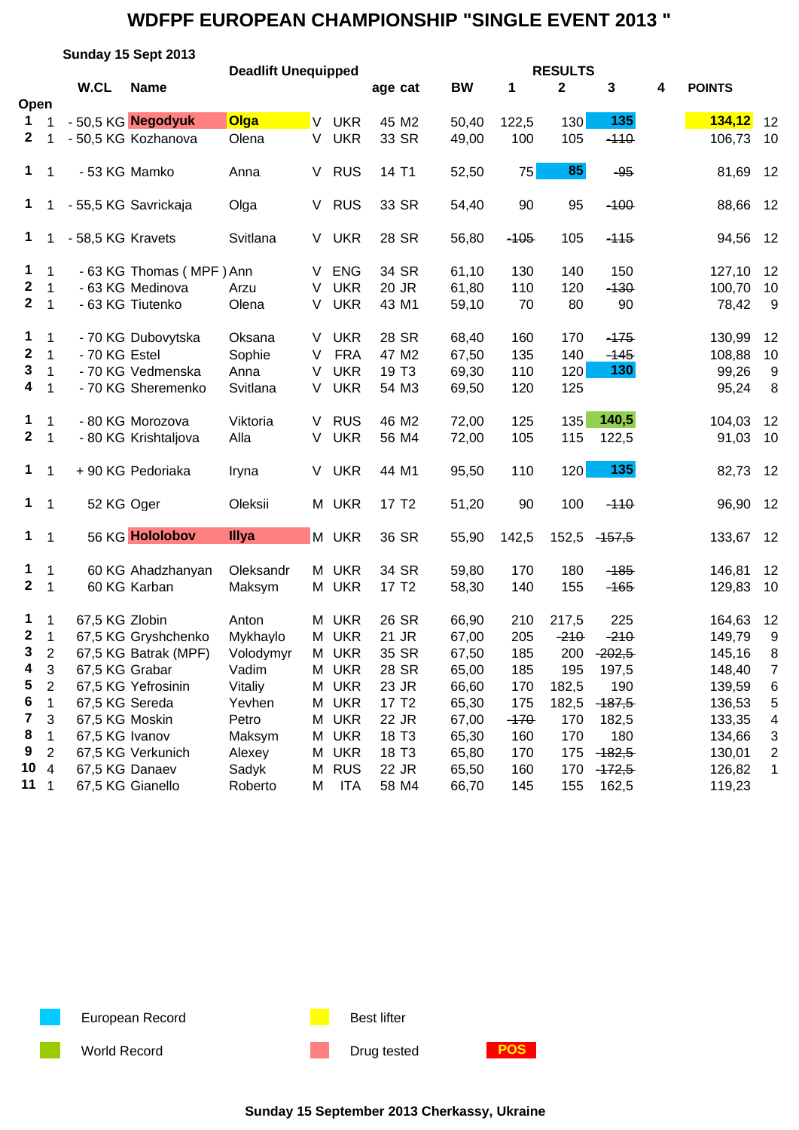|                  |                |                   | Sunday 15 Sept 2013      |                            |   |            |                   |           |        |                               |          |   |               |                         |
|------------------|----------------|-------------------|--------------------------|----------------------------|---|------------|-------------------|-----------|--------|-------------------------------|----------|---|---------------|-------------------------|
|                  |                | W.CL              | <b>Name</b>              | <b>Deadlift Unequipped</b> |   |            | age cat           | <b>BW</b> | 1      | <b>RESULTS</b><br>$\mathbf 2$ | 3        | 4 | <b>POINTS</b> |                         |
| Open             |                |                   |                          |                            |   |            |                   |           |        |                               |          |   |               |                         |
| $\mathbf 1$      |                |                   | - 50,5 KG Negodyuk       | Olga                       | V | <b>UKR</b> | 45 M2             | 50,40     | 122,5  | 130                           | 135      |   | 134,12        | 12                      |
| $\mathbf{2}$     |                |                   | - 50,5 KG Kozhanova      | Olena                      | V | <b>UKR</b> | 33 SR             | 49,00     | 100    | 105                           | $-110$   |   | 106,73        | 10                      |
|                  |                |                   |                          |                            |   |            |                   |           |        |                               |          |   |               |                         |
| $\mathbf 1$      | 1              | - 53 KG Mamko     |                          | Anna                       | V | <b>RUS</b> | 14 T1             | 52,50     | 75     | 85                            | $-95$    |   | 81,69         | 12                      |
| $\mathbf 1$      |                |                   | - 55,5 KG Savrickaja     | Olga                       | V | <b>RUS</b> | 33 SR             | 54,40     | 90     | 95                            | $-100$   |   | 88,66         | 12                      |
| $\mathbf 1$      |                | - 58,5 KG Kravets |                          | Svitlana                   |   | V UKR      | 28 SR             | 56,80     | $-105$ | 105                           | $-115$   |   | 94,56         | 12                      |
| $\mathbf{1}$     | $\mathbf{1}$   |                   | - 63 KG Thomas (MPF) Ann |                            | V | <b>ENG</b> | 34 SR             | 61,10     | 130    | 140                           | 150      |   | 127,10        | 12                      |
| $\boldsymbol{2}$ | 1              |                   | - 63 KG Medinova         | Arzu                       | V | <b>UKR</b> | 20 JR             | 61,80     | 110    | 120                           | $-130$   |   | 100,70        | 10                      |
| $\mathbf{2}$     | $\mathbf 1$    |                   | - 63 KG Tiutenko         | Olena                      | V | <b>UKR</b> | 43 M1             | 59,10     | 70     | 80                            | 90       |   | 78,42         | 9                       |
| 1                | 1              |                   | - 70 KG Dubovytska       | Oksana                     | V | <b>UKR</b> | 28 SR             | 68,40     | 160    | 170                           | $-175$   |   | 130,99        | 12                      |
| $\boldsymbol{2}$ | 1              | - 70 KG Estel     |                          | Sophie                     | V | <b>FRA</b> | 47 M2             | 67,50     | 135    | 140                           | $-145$   |   | 108,88        | 10                      |
| 3                | $\mathbf 1$    |                   | - 70 KG Vedmenska        | Anna                       | V | <b>UKR</b> | 19 T <sub>3</sub> | 69,30     | 110    | 120                           | 130      |   | 99,26         | 9                       |
| 4                | 1              |                   | - 70 KG Sheremenko       | Svitlana                   | V | <b>UKR</b> | 54 M3             | 69,50     | 120    | 125                           |          |   | 95,24         | 8                       |
| $\mathbf 1$      | $\mathbf{1}$   |                   | - 80 KG Morozova         | Viktoria                   | V | <b>RUS</b> | 46 M2             | 72,00     | 125    | 135                           | 140,5    |   | 104,03        | 12                      |
| $2 \t1$          |                |                   | - 80 KG Krishtaljova     | Alla                       | V | <b>UKR</b> | 56 M4             | 72,00     | 105    | 115                           | 122,5    |   | 91,03         | 10                      |
| $\mathbf 1$      | 1              |                   | +90 KG Pedoriaka         | Iryna                      | V | <b>UKR</b> | 44 M1             | 95,50     | 110    | 120                           | 135      |   | 82,73         | 12                      |
| $1 \quad 1$      |                | 52 KG Oger        |                          | Oleksii                    |   | M UKR      | 17 T <sub>2</sub> | 51,20     | 90     | 100                           | $-110$   |   | 96,90         | 12                      |
| $1 \quad 1$      |                |                   | 56 KG Hololobov          | Illya                      |   | M UKR      | 36 SR             | 55,90     | 142,5  | 152,5                         | $-157,5$ |   | 133,67        | 12                      |
| $\mathbf 1$      | $\overline{1}$ |                   | 60 KG Ahadzhanyan        | Oleksandr                  |   | M UKR      | 34 SR             | 59,80     | 170    | 180                           | $-185$   |   | 146,81        | 12                      |
| $\mathbf{2}$     | $\mathbf{1}$   |                   | 60 KG Karban             | Maksym                     |   | M UKR      | 17 T <sub>2</sub> | 58,30     | 140    | 155                           | $-165$   |   | 129,83        | 10                      |
| $\mathbf{1}$     | $\mathbf 1$    | 67,5 KG Zlobin    |                          | Anton                      | М | <b>UKR</b> | 26 SR             | 66,90     | 210    | 217,5                         | 225      |   | 164,63        | 12                      |
| $\mathbf{2}$     | $\overline{1}$ |                   | 67,5 KG Gryshchenko      | Mykhaylo                   |   | M UKR      | 21 JR             | 67,00     | 205    | $-210$                        | $-210$   |   | 149,79        | 9                       |
| $\mathbf{3}$     | $\overline{2}$ |                   | 67,5 KG Batrak (MPF)     | Volodymyr                  |   | M UKR      | 35 SR             | 67,50     | 185    | 200                           | $-202,5$ |   | 145,16        | 8                       |
| 4                | 3              | 67,5 KG Grabar    |                          | Vadim                      | М | <b>UKR</b> | 28 SR             | 65,00     | 185    | 195                           | 197,5    |   | 148,40        | $\overline{7}$          |
| 5                | $\overline{c}$ |                   | 67,5 KG Yefrosinin       | Vitaliy                    | Μ | <b>UKR</b> | 23 JR             | 66,60     | 170    | 182,5                         | 190      |   | 139,59        | 6                       |
| 6                | 1              | 67,5 KG Sereda    |                          | Yevhen                     | Μ | <b>UKR</b> | 17 T <sub>2</sub> | 65,30     | 175    | 182,5                         | $-187,5$ |   | 136,53        | 5                       |
| 7                | 3              | 67,5 KG Moskin    |                          | Petro                      | Μ | <b>UKR</b> | 22 JR             | 67,00     | $-170$ | 170                           | 182,5    |   | 133,35        | 4                       |
| 8                | 1              | 67,5 KG Ivanov    |                          | Maksym                     | М | <b>UKR</b> | 18 T <sub>3</sub> | 65,30     | 160    | 170                           | 180      |   | 134,66        | 3                       |
| 9                | $\overline{c}$ |                   | 67,5 KG Verkunich        | Alexey                     | М | <b>UKR</b> | 18 T <sub>3</sub> | 65,80     | 170    | 175                           | $-182,5$ |   | 130,01        | $\overline{\mathbf{c}}$ |
| 10               | $\overline{4}$ | 67,5 KG Danaev    |                          | Sadyk                      | M | <b>RUS</b> | 22 JR             | 65,50     | 160    | 170                           | $-172,5$ |   | 126,82        | 1                       |
| 11               | $\mathbf 1$    |                   | 67,5 KG Gianello         | Roberto                    | М | ITA        | 58 M4             | 66,70     | 145    | 155                           | 162,5    |   | 119,23        |                         |

European Record **Best lifter** Best lifter

World Record **Drug tested POS** 

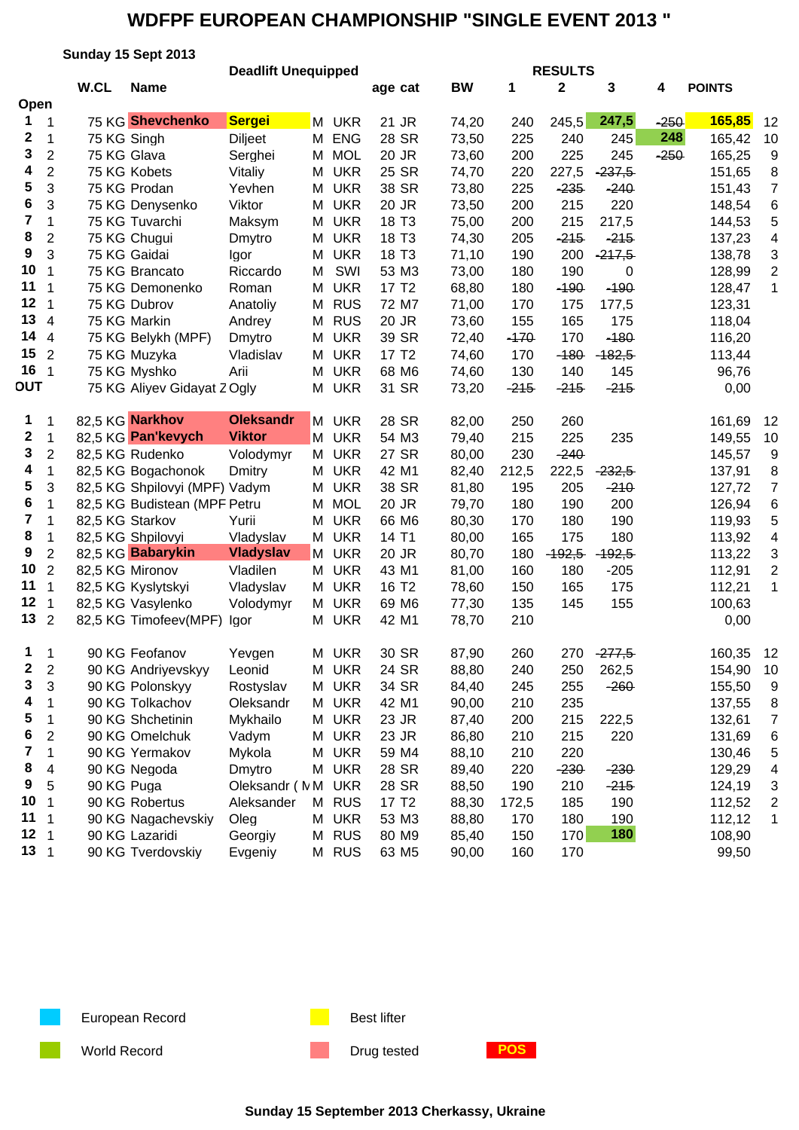|                         |                         |                 | Sunday 15 Sept 2013           |                            |   |            |                   |           |        |                |          |        |               |                |
|-------------------------|-------------------------|-----------------|-------------------------------|----------------------------|---|------------|-------------------|-----------|--------|----------------|----------|--------|---------------|----------------|
|                         |                         |                 |                               | <b>Deadlift Unequipped</b> |   |            |                   |           |        | <b>RESULTS</b> |          |        |               |                |
|                         |                         | W.CL            | <b>Name</b>                   |                            |   |            | age cat           | <b>BW</b> | 1      | $\mathbf 2$    | 3        | 4      | <b>POINTS</b> |                |
| Open                    |                         |                 |                               |                            |   |            |                   |           |        |                |          |        |               |                |
| 1                       | 1                       |                 | 75 KG Shevchenko              | <b>Sergei</b>              | M | <b>UKR</b> | 21 JR             | 74,20     | 240    | 245,5          | 247,5    | $-250$ | 165,85        | 12             |
| 2                       | 1                       | 75 KG Singh     |                               | <b>Diljeet</b>             | M | <b>ENG</b> | 28 SR             | 73,50     | 225    | 240            | 245      | 248    | 165,42        | 10             |
| 3                       | $\overline{c}$          | 75 KG Glava     |                               | Serghei                    | M | <b>MOL</b> | 20 JR             | 73,60     | 200    | 225            | 245      | $-250$ | 165,25        | 9              |
| 4                       | $\overline{c}$          |                 | 75 KG Kobets                  | Vitaliy                    | м | <b>UKR</b> | 25 SR             | 74,70     | 220    | 227,5          | $-237,5$ |        | 151,65        | 8              |
| 5                       | 3                       |                 | 75 KG Prodan                  | Yevhen                     | м | <b>UKR</b> | 38 SR             | 73,80     | 225    | $-235$         | $-240$   |        | 151,43        | $\overline{7}$ |
| 6                       | 3                       |                 | 75 KG Denysenko               | Viktor                     | м | <b>UKR</b> | 20 JR             | 73,50     | 200    | 215            | 220      |        | 148,54        | 6              |
| $\overline{\mathbf{7}}$ | $\mathbf{1}$            |                 | 75 KG Tuvarchi                | Maksym                     | М | <b>UKR</b> | 18 T <sub>3</sub> | 75,00     | 200    | 215            | 217,5    |        | 144,53        | 5              |
| 8                       | $\overline{c}$          |                 | 75 KG Chugui                  | Dmytro                     | м | <b>UKR</b> | 18 T <sub>3</sub> | 74,30     | 205    | $-215$         | $-215$   |        | 137,23        | 4              |
| 9                       | 3                       |                 | 75 KG Gaidai                  | Igor                       | м | <b>UKR</b> | 18 T <sub>3</sub> | 71,10     | 190    | 200            | $-217,5$ |        | 138,78        | 3              |
| 10                      | $\mathbf{1}$            |                 | 75 KG Brancato                | Riccardo                   | м | SWI        | 53 M3             | 73,00     | 180    | 190            | 0        |        | 128,99        | $\overline{c}$ |
| 11                      | 1                       |                 | 75 KG Demonenko               | Roman                      | M | <b>UKR</b> | 17 T <sub>2</sub> | 68,80     | 180    | $-190$         | $-190$   |        | 128,47        | 1              |
| 12                      | 1                       |                 | 75 KG Dubrov                  | Anatoliy                   | M | <b>RUS</b> | 72 M7             | 71,00     | 170    | 175            | 177,5    |        | 123,31        |                |
| 13                      | 4                       |                 | 75 KG Markin                  | Andrey                     | M | <b>RUS</b> | 20 JR             | 73,60     | 155    | 165            | 175      |        | 118,04        |                |
| 14                      | 4                       |                 | 75 KG Belykh (MPF)            | Dmytro                     | M | <b>UKR</b> | 39 SR             | 72,40     | $-170$ | 170            | $-180$   |        | 116,20        |                |
| 15                      | $\overline{2}$          |                 | 75 KG Muzyka                  | Vladislav                  | м | <b>UKR</b> | 17 T <sub>2</sub> | 74,60     | 170    | $-180$         | $-182,5$ |        | 113,44        |                |
| 16                      | $\mathbf{1}$            |                 | 75 KG Myshko                  | Arii                       | M | <b>UKR</b> | 68 M6             | 74,60     | 130    | 140            | 145      |        | 96,76         |                |
| <b>DUT</b>              |                         |                 | 75 KG Aliyev Gidayat ZOgly    |                            | M | <b>UKR</b> | 31 SR             | 73,20     | $-215$ | $-215$         | $-215$   |        | 0,00          |                |
|                         |                         |                 |                               |                            |   |            |                   |           |        |                |          |        |               |                |
| 1                       | 1                       |                 | 82,5 KG Narkhov               | <b>Oleksandr</b>           | M | <b>UKR</b> | 28 SR             | 82,00     | 250    | 260            |          |        | 161,69        | 12             |
| 2                       | $\mathbf 1$             |                 | 82,5 KG Pan'kevych            | <b>Viktor</b>              | M | <b>UKR</b> | 54 M3             | 79,40     | 215    | 225            | 235      |        | 149,55        | 10             |
| 3                       | $\overline{2}$          |                 | 82,5 KG Rudenko               | Volodymyr                  | М | <b>UKR</b> | 27 SR             | 80,00     | 230    | $-240$         |          |        | 145,57        | 9              |
| 4                       | $\mathbf 1$             |                 | 82,5 KG Bogachonok            | Dmitry                     | м | <b>UKR</b> | 42 M1             | 82,40     | 212,5  | 222,5          | $-232,5$ |        | 137,91        | 8              |
| 5                       | 3                       |                 | 82,5 KG Shpilovyi (MPF) Vadym |                            | м | <b>UKR</b> | 38 SR             | 81,80     | 195    | 205            | $-210$   |        | 127,72        | $\overline{7}$ |
| 6                       | $\mathbf 1$             |                 | 82,5 KG Budistean (MPF Petru  |                            | м | <b>MOL</b> | 20 JR             | 79,70     | 180    | 190            | 200      |        | 126,94        | 6              |
| 7                       | $\mathbf{1}$            | 82,5 KG Starkov |                               | Yurii                      | M | <b>UKR</b> | 66 M6             | 80,30     | 170    | 180            | 190      |        | 119,93        | 5              |
| 8                       | 1                       |                 | 82,5 KG Shpilovyi             | Vladyslav                  |   | M UKR      | 14 T1             | 80,00     | 165    | 175            | 180      |        | 113,92        | 4              |
| 9                       | $\overline{2}$          |                 | 82,5 KG Babarykin             | <b>Vladyslav</b>           |   | M UKR      | 20 JR             | 80,70     | 180    | $-192,5$       | $-192,5$ |        | 113,22        | 3              |
| 10                      | $\overline{2}$          |                 | 82,5 KG Mironov               | Vladilen                   | М | <b>UKR</b> | 43 M1             | 81,00     | 160    | 180            | $-205$   |        | 112,91        | $\overline{c}$ |
| 11                      | $\mathbf{1}$            |                 | 82,5 KG Kyslytskyi            | Vladyslav                  | M | <b>UKR</b> | 16 T <sub>2</sub> | 78,60     | 150    | 165            | 175      |        | 112,21        | 1              |
| 12                      | 1                       |                 | 82,5 KG Vasylenko             | Volodymyr                  | M | <b>UKR</b> | 69 M6             | 77,30     | 135    | 145            | 155      |        | 100,63        |                |
| 13                      | $\overline{2}$          |                 | 82,5 KG Timofeev(MPF)         | lgor                       | м | <b>UKR</b> | 42 M1             | 78,70     | 210    |                |          |        | 0,00          |                |
|                         |                         |                 |                               |                            |   |            |                   |           |        |                |          |        |               |                |
| 1.                      | $\overline{\mathbf{1}}$ |                 | 90 KG Feofanov                | Yevgen                     |   | M UKR      | 30 SR             | 87,90     | 260    | 270            | $-277,5$ |        | 160,35        | 12             |
| 2                       | $\overline{2}$          |                 | 90 KG Andriyevskyy            | Leonid                     | M | <b>UKR</b> | 24 SR             | 88,80     | 240    | 250            | 262,5    |        | 154,90        | 10             |
| 3                       | 3                       |                 | 90 KG Polonskyy               | Rostyslav                  | М | <b>UKR</b> | 34 SR             | 84,40     | 245    | 255            | $-260$   |        | 155,50        | 9              |
| 4                       | 1                       |                 | 90 KG Tolkachov               | Oleksandr                  | М | <b>UKR</b> | 42 M1             | 90,00     | 210    | 235            |          |        | 137,55        | 8              |
| 5                       | 1                       |                 | 90 KG Shchetinin              | Mykhailo                   | м | <b>UKR</b> | 23 JR             | 87,40     | 200    | 215            | 222,5    |        | 132,61        | 7              |
| 6                       | $\overline{2}$          |                 | 90 KG Omelchuk                | Vadym                      | м | <b>UKR</b> | 23 JR             | 86,80     | 210    | 215            | 220      |        | 131,69        | 6              |
| 7                       | $\mathbf{1}$            |                 | 90 KG Yermakov                | Mykola                     | M | <b>UKR</b> | 59 M4             | 88,10     | 210    | 220            |          |        | 130,46        | 5              |
| 8                       | 4                       |                 | 90 KG Negoda                  | Dmytro                     |   | M UKR      | 28 SR             | 89,40     | 220    | $-230$         | $-230$   |        | 129,29        | 4              |
| 9                       | 5                       | 90 KG Puga      |                               | Oleksandr (NM              |   | <b>UKR</b> | 28 SR             | 88,50     | 190    | 210            | $-215$   |        | 124,19        | 3              |
| 10                      | 1                       |                 | 90 KG Robertus                | Aleksander                 |   | M RUS      | 17 T <sub>2</sub> | 88,30     | 172,5  | 185            | 190      |        | 112,52        | 2              |
| 11                      | 1                       |                 | 90 KG Nagachevskiy            | Oleg                       |   | M UKR      | 53 M3             | 88,80     | 170    | 180            | 190      |        | 112,12        | 1              |
| 12                      | 1                       |                 | 90 KG Lazaridi                | Georgiy                    |   | M RUS      | 80 M9             | 85,40     | 150    | 170            | 180      |        | 108,90        |                |
| 13 <sub>1</sub>         | 1                       |                 | 90 KG Tverdovskiy             | Evgeniy                    |   | M RUS      | 63 M <sub>5</sub> | 90,00     | 160    | 170            |          |        | 99,50         |                |

European Record **Best lifter** Best lifter

World Record **Drug tested POS** 

**Sunday 15 September 2013 Cherkassy, Ukraine**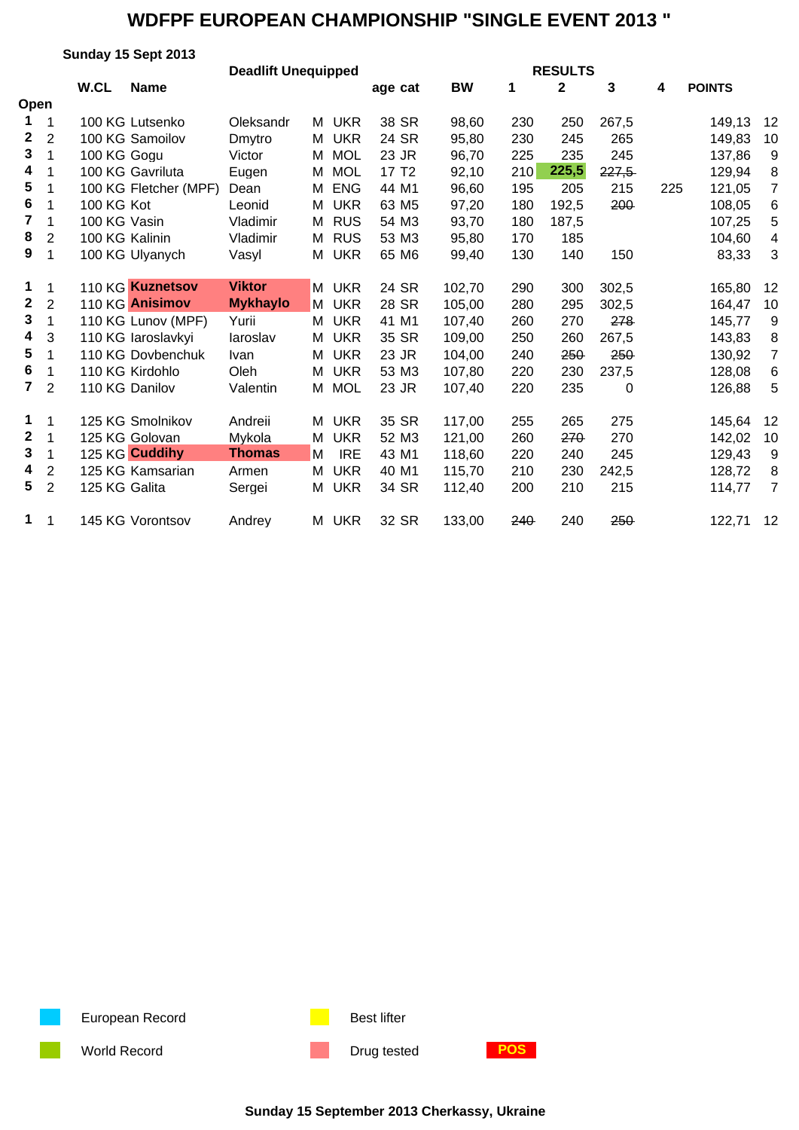|                |                | Sunday 15 Sept 2013   |                 |                            |                   |           |     |              |            |     |               |                |  |  |
|----------------|----------------|-----------------------|-----------------|----------------------------|-------------------|-----------|-----|--------------|------------|-----|---------------|----------------|--|--|
|                |                |                       |                 | <b>Deadlift Unequipped</b> | <b>RESULTS</b>    |           |     |              |            |     |               |                |  |  |
|                |                | W.CL<br><b>Name</b>   |                 |                            | age cat           | <b>BW</b> | 1   | $\mathbf{2}$ | 3          | 4   | <b>POINTS</b> |                |  |  |
| Open           |                |                       |                 |                            |                   |           |     |              |            |     |               |                |  |  |
| 1              | 1              | 100 KG Lutsenko       | Oleksandr       | M UKR                      | 38 SR             | 98,60     | 230 | 250          | 267,5      |     | 149,13        | $12 \,$        |  |  |
| $\mathbf 2$    | $\overline{2}$ | 100 KG Samoilov       | Dmytro          | <b>UKR</b><br>М            | 24 SR             | 95,80     | 230 | 245          | 265        |     | 149,83        | 10             |  |  |
| $\mathbf{3}$   | $\mathbf{1}$   | 100 KG Gogu           | Victor          | <b>MOL</b><br>М            | 23 JR             | 96,70     | 225 | 235          | 245        |     | 137,86        | 9              |  |  |
| 4              | 1              | 100 KG Gavriluta      | Eugen           | <b>MOL</b><br>М            | 17 T <sub>2</sub> | 92,10     | 210 | 225,5        | 227,5      |     | 129,94        | 8              |  |  |
| 5              | 1              | 100 KG Fletcher (MPF) | Dean            | <b>ENG</b><br>М            | 44 M1             | 96,60     | 195 | 205          | 215        | 225 | 121,05        | $\overline{7}$ |  |  |
| 6              | 1              | 100 KG Kot            | Leonid          | <b>UKR</b><br>Μ            | 63 M <sub>5</sub> | 97,20     | 180 | 192,5        | 200        |     | 108,05        | 6              |  |  |
| $\overline{7}$ | 1              | 100 KG Vasin          | Vladimir        | <b>RUS</b><br>М            | 54 M3             | 93,70     | 180 | 187,5        |            |     | 107,25        | 5              |  |  |
| 8              | $\overline{2}$ | 100 KG Kalinin        | Vladimir        | M RUS                      | 53 M3             | 95,80     | 170 | 185          |            |     | 104,60        | 4              |  |  |
| 9              | 1              | 100 KG Ulyanych       | Vasyl           | M<br><b>UKR</b>            | 65 M6             | 99,40     | 130 | 140          | 150        |     | 83,33         | 3              |  |  |
|                |                |                       |                 |                            |                   |           |     |              |            |     |               |                |  |  |
| 1              | $\mathbf 1$    | 110 KG Kuznetsov      | <b>Viktor</b>   | <b>UKR</b><br>M            | 24 SR             | 102,70    | 290 | 300          | 302,5      |     | 165,80        | 12             |  |  |
| $\mathbf 2$    | $\overline{2}$ | 110 KG Anisimov       | <b>Mykhaylo</b> | <b>UKR</b><br>M            | 28 SR             | 105,00    | 280 | 295          | 302,5      |     | 164,47        | 10             |  |  |
| 3              | 1              | 110 KG Lunov (MPF)    | Yurii           | M UKR                      | 41 M1             | 107,40    | 260 | 270          | 278        |     | 145,77        | 9              |  |  |
| 4              | 3              | 110 KG laroslavkyi    | laroslav        | <b>UKR</b><br>М            | 35 SR             | 109,00    | 250 | 260          | 267,5      |     | 143,83        | 8              |  |  |
| 5              | 1              | 110 KG Dovbenchuk     | <b>Ivan</b>     | <b>UKR</b><br>М            | 23 JR             | 104,00    | 240 | 250          | <b>250</b> |     | 130,92        | $\overline{7}$ |  |  |
| 6              | 1              | 110 KG Kirdohlo       | Oleh            | <b>UKR</b><br>М            | 53 M3             | 107,80    | 220 | 230          | 237,5      |     | 128,08        | 6              |  |  |
| $\overline{7}$ | $\overline{2}$ | 110 KG Danilov        | Valentin        | <b>MOL</b><br>М            | 23 JR             | 107,40    | 220 | 235          | 0          |     | 126,88        | 5              |  |  |
|                |                |                       |                 |                            |                   |           |     |              |            |     |               |                |  |  |
| 1              | $\mathbf 1$    | 125 KG Smolnikov      | Andreii         | <b>UKR</b><br>М            | 35 SR             | 117,00    | 255 | 265          | 275        |     | 145,64        | 12             |  |  |
| $\mathbf{2}$   | 1              | 125 KG Golovan        | Mykola          | <b>UKR</b><br>М            | 52 M3             | 121,00    | 260 | 270          | 270        |     | 142,02        | 10             |  |  |
| 3              | 1              | 125 KG Cuddihy        | <b>Thomas</b>   | <b>IRE</b><br>M            | 43 M1             | 118,60    | 220 | 240          | 245        |     | 129,43        | 9              |  |  |
| 4              | $\overline{2}$ | 125 KG Kamsarian      | Armen           | <b>UKR</b><br>м            | 40 M1             | 115,70    | 210 | 230          | 242,5      |     | 128,72        | 8              |  |  |
| 5              | $\overline{2}$ | 125 KG Galita         | Sergei          | <b>UKR</b><br>Μ            | 34 SR             | 112,40    | 200 | 210          | 215        |     | 114,77        | $\overline{7}$ |  |  |
|                |                |                       |                 |                            |                   |           |     |              |            |     |               |                |  |  |
| $\mathbf 1$    | $\mathbf 1$    | 145 KG Vorontsov      | Andrey          | M UKR                      | 32 SR             | 133,00    | 240 | 240          | 250        |     | 122,71        | 12             |  |  |